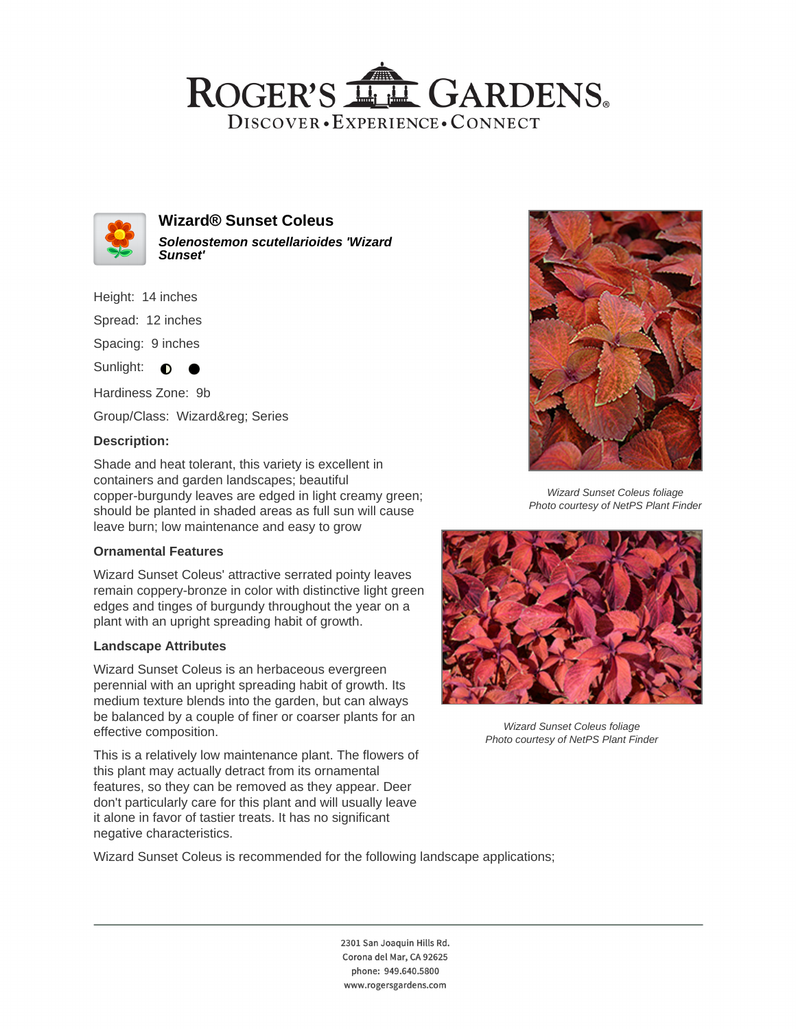## ROGER'S LL GARDENS. DISCOVER · EXPERIENCE · CONNECT



**Wizard® Sunset Coleus Solenostemon scutellarioides 'Wizard Sunset'**

Height: 14 inches Spread: 12 inches Spacing: 9 inches

Sunlight:  $\bullet$ 

Hardiness Zone: 9b Group/Class: Wizard® Series

**Description:**

Shade and heat tolerant, this variety is excellent in containers and garden landscapes; beautiful copper-burgundy leaves are edged in light creamy green; should be planted in shaded areas as full sun will cause leave burn; low maintenance and easy to grow

### **Ornamental Features**

Wizard Sunset Coleus' attractive serrated pointy leaves remain coppery-bronze in color with distinctive light green edges and tinges of burgundy throughout the year on a plant with an upright spreading habit of growth.

### **Landscape Attributes**

Wizard Sunset Coleus is an herbaceous evergreen perennial with an upright spreading habit of growth. Its medium texture blends into the garden, but can always be balanced by a couple of finer or coarser plants for an effective composition.

This is a relatively low maintenance plant. The flowers of this plant may actually detract from its ornamental features, so they can be removed as they appear. Deer don't particularly care for this plant and will usually leave it alone in favor of tastier treats. It has no significant negative characteristics.



Wizard Sunset Coleus foliage Photo courtesy of NetPS Plant Finder



Wizard Sunset Coleus foliage Photo courtesy of NetPS Plant Finder

Wizard Sunset Coleus is recommended for the following landscape applications;

2301 San Joaquin Hills Rd. Corona del Mar, CA 92625 phone: 949.640.5800 www.rogersgardens.com